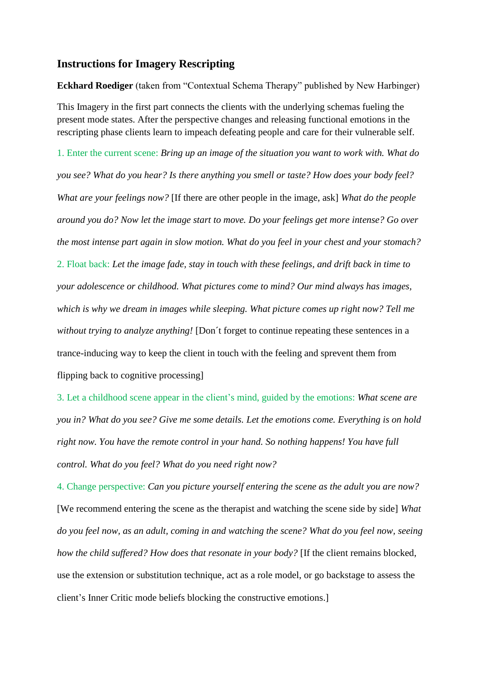## **Instructions for Imagery Rescripting**

**Eckhard Roediger** (taken from "Contextual Schema Therapy" published by New Harbinger) This Imagery in the first part connects the clients with the underlying schemas fueling the present mode states. After the perspective changes and releasing functional emotions in the rescripting phase clients learn to impeach defeating people and care for their vulnerable self.

1. Enter the current scene: *Bring up an image of the situation you want to work with. What do you see? What do you hear? Is there anything you smell or taste? How does your body feel? What are your feelings now?* [If there are other people in the image, ask] *What do the people around you do? Now let the image start to move. Do your feelings get more intense? Go over the most intense part again in slow motion. What do you feel in your chest and your stomach?*  2. Float back: *Let the image fade, stay in touch with these feelings, and drift back in time to your adolescence or childhood. What pictures come to mind? Our mind always has images, which is why we dream in images while sleeping. What picture comes up right now? Tell me without trying to analyze anything!* [Don´t forget to continue repeating these sentences in a trance-inducing way to keep the client in touch with the feeling and sprevent them from flipping back to cognitive processing]

3. Let a childhood scene appear in the client's mind, guided by the emotions: *What scene are you in? What do you see? Give me some details. Let the emotions come. Everything is on hold right now. You have the remote control in your hand. So nothing happens! You have full control. What do you feel? What do you need right now?* 

4. Change perspective: *Can you picture yourself entering the scene as the adult you are now?* [We recommend entering the scene as the therapist and watching the scene side by side] *What do you feel now, as an adult, coming in and watching the scene? What do you feel now, seeing how the child suffered? How does that resonate in your body?* [If the client remains blocked, use the extension or substitution technique, act as a role model, or go backstage to assess the client's Inner Critic mode beliefs blocking the constructive emotions.]